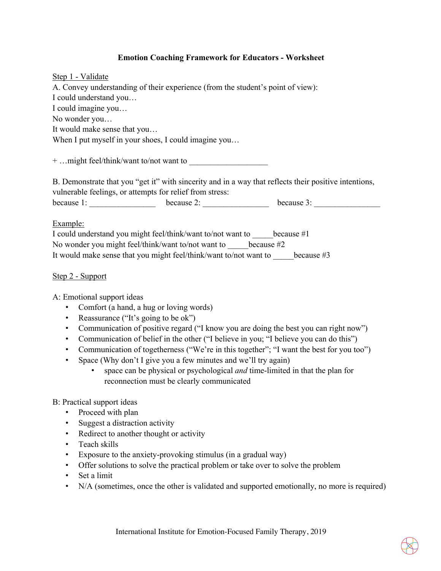## **Emotion Coaching Framework for Educators - Worksheet**

| Step 1 - Validate                                                                                                                                                 |                                                                                 |                                                                  |  |  |
|-------------------------------------------------------------------------------------------------------------------------------------------------------------------|---------------------------------------------------------------------------------|------------------------------------------------------------------|--|--|
|                                                                                                                                                                   | A. Convey understanding of their experience (from the student's point of view): |                                                                  |  |  |
| I could understand you                                                                                                                                            |                                                                                 |                                                                  |  |  |
| I could imagine you                                                                                                                                               |                                                                                 |                                                                  |  |  |
| No wonder you                                                                                                                                                     |                                                                                 |                                                                  |  |  |
| It would make sense that you                                                                                                                                      |                                                                                 |                                                                  |  |  |
|                                                                                                                                                                   | When I put myself in your shoes, I could imagine you                            |                                                                  |  |  |
| B. Demonstrate that you "get it" with sincerity and in a way that reflects their positive intentions,<br>vulnerable feelings, or attempts for relief from stress: |                                                                                 |                                                                  |  |  |
|                                                                                                                                                                   |                                                                                 | because 1: $\qquad \qquad$ because 2: $\qquad \qquad$ because 3: |  |  |
| Example:                                                                                                                                                          |                                                                                 |                                                                  |  |  |
|                                                                                                                                                                   | I could understand you might feel/think/want to/not want to because #1          |                                                                  |  |  |
|                                                                                                                                                                   | No wonder you might feel/think/want to/not want to because $#2$                 |                                                                  |  |  |
|                                                                                                                                                                   | It would make sense that you might feel/think/want to/not want to because #3    |                                                                  |  |  |

## Step 2 - Support

A: Emotional support ideas

- Comfort (a hand, a hug or loving words)
- Reassurance ("It's going to be ok")
- Communication of positive regard ("I know you are doing the best you can right now")
- Communication of belief in the other ("I believe in you; "I believe you can do this")
- Communication of togetherness ("We're in this together"; "I want the best for you too")
- Space (Why don't I give you a few minutes and we'll try again)
	- space can be physical or psychological *and* time-limited in that the plan for reconnection must be clearly communicated

## B: Practical support ideas

- Proceed with plan
- Suggest a distraction activity
- Redirect to another thought or activity
- Teach skills
- Exposure to the anxiety-provoking stimulus (in a gradual way)
- Offer solutions to solve the practical problem or take over to solve the problem
- Set a limit
- N/A (sometimes, once the other is validated and supported emotionally, no more is required)